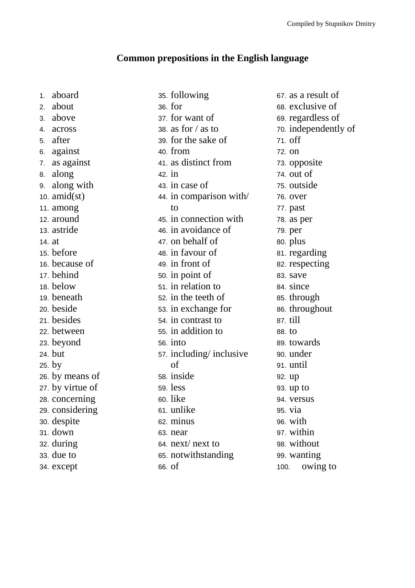## **Common prepositions in the English language**

1. aboard 2. about 3. above 4. across 5. after 6. against 7. as against 8. along 9. along with 10.  $amid(st)$ 11. among 12. around 13. astride 14. at 15. before 16. because of 17. behind 18. below 19. beneath 20. beside 21. besides 22. between 23. beyond 24. but 25. by 26. by means of 27. by virtue of 28. concerning 29. considering 30. despite 31. down 32. during 33. due to 34. except

35. following 36. for 37. for want of 38. as for  $/$  as to 39. for the sake of 40. from 41. as distinct from 42. in 43. in case of 44. in comparison with/ to 45. in connection with 46. in avoidance of 47. on behalf of 48. in favour of 49. in front of 50. in point of 51. in relation to 52. in the teeth of 53. in exchange for 54. in contrast to 55. in addition to 56. into 57. including/ inclusive of 58. inside 59. less 60. like 61. unlike 62. minus 63. near 64. next/ next to 65. notwithstanding

66. of

67. as a result of 68. exclusive of 69. regardless of 70. independently of 71. off 72. on 73. opposite 74. out of 75. outside 76. over 77. past 78. as per 79. per 80. plus 81. regarding 82. respecting 83. save 84. since 85. through 86. throughout 87. till 88. to 89. towards 90. under 91. until 92. up 93. up to 94. versus 95. via 96. with 97. within 98. without 99. wanting 100. owing to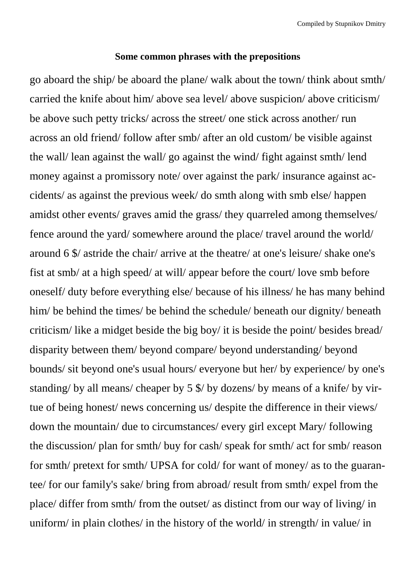## **Some common phrases with the prepositions**

go aboard the ship/ be aboard the plane/ walk about the town/ think about smth/ carried the knife about him/ above sea level/ above suspicion/ above criticism/ be above such petty tricks/ across the street/ one stick across another/ run across an old friend/ follow after smb/ after an old custom/ be visible against the wall/ lean against the wall/ go against the wind/ fight against smth/ lend money against a promissory note/ over against the park/ insurance against accidents/ as against the previous week/ do smth along with smb else/ happen amidst other events/ graves amid the grass/ they quarreled among themselves/ fence around the yard/ somewhere around the place/ travel around the world/ around 6 \$/ astride the chair/ arrive at the theatre/ at one's leisure/ shake one's fist at smb/ at a high speed/ at will/ appear before the court/ love smb before oneself/ duty before everything else/ because of his illness/ he has many behind him/ be behind the times/ be behind the schedule/ beneath our dignity/ beneath criticism/ like a midget beside the big boy/ it is beside the point/ besides bread/ disparity between them/ beyond compare/ beyond understanding/ beyond bounds/ sit beyond one's usual hours/ everyone but her/ by experience/ by one's standing/ by all means/ cheaper by 5 \$/ by dozens/ by means of a knife/ by virtue of being honest/ news concerning us/ despite the difference in their views/ down the mountain/ due to circumstances/ every girl except Mary/ following the discussion/ plan for smth/ buy for cash/ speak for smth/ act for smb/ reason for smth/ pretext for smth/ UPSA for cold/ for want of money/ as to the guarantee/ for our family's sake/ bring from abroad/ result from smth/ expel from the place/ differ from smth/ from the outset/ as distinct from our way of living/ in uniform/ in plain clothes/ in the history of the world/ in strength/ in value/ in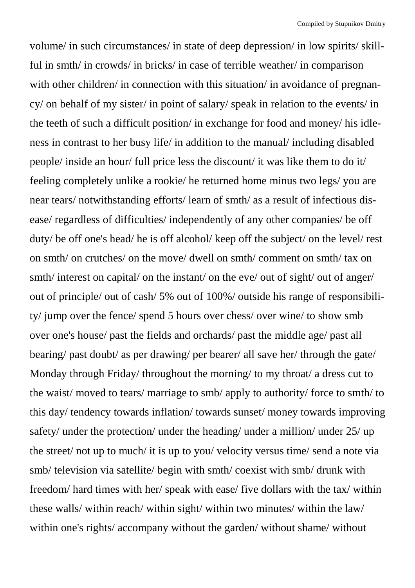volume/ in such circumstances/ in state of deep depression/ in low spirits/ skillful in smth/ in crowds/ in bricks/ in case of terrible weather/ in comparison with other children/ in connection with this situation/ in avoidance of pregnancy/ on behalf of my sister/ in point of salary/ speak in relation to the events/ in the teeth of such a difficult position/ in exchange for food and money/ his idleness in contrast to her busy life/ in addition to the manual/ including disabled people/ inside an hour/ full price less the discount/ it was like them to do it/ feeling completely unlike a rookie/ he returned home minus two legs/ you are near tears/ notwithstanding efforts/ learn of smth/ as a result of infectious disease/ regardless of difficulties/ independently of any other companies/ be off duty/ be off one's head/ he is off alcohol/ keep off the subject/ on the level/ rest on smth/ on crutches/ on the move/ dwell on smth/ comment on smth/ tax on smth/ interest on capital/ on the instant/ on the eve/ out of sight/ out of anger/ out of principle/ out of cash/ 5% out of 100%/ outside his range of responsibility/ jump over the fence/ spend 5 hours over chess/ over wine/ to show smb over one's house/ past the fields and orchards/ past the middle age/ past all bearing/ past doubt/ as per drawing/ per bearer/ all save her/ through the gate/ Monday through Friday/ throughout the morning/ to my throat/ a dress cut to the waist/ moved to tears/ marriage to smb/ apply to authority/ force to smth/ to this day/ tendency towards inflation/ towards sunset/ money towards improving safety/ under the protection/ under the heading/ under a million/ under 25/ up the street/ not up to much/ it is up to you/ velocity versus time/ send a note via smb/ television via satellite/ begin with smth/ coexist with smb/ drunk with freedom/ hard times with her/ speak with ease/ five dollars with the tax/ within these walls/ within reach/ within sight/ within two minutes/ within the law/ within one's rights/ accompany without the garden/ without shame/ without